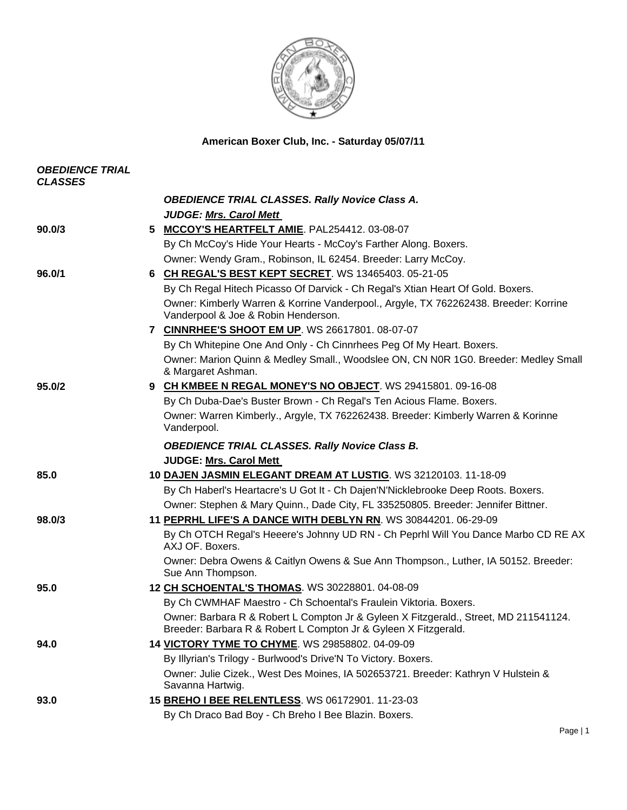

**American Boxer Club, Inc. - Saturday 05/07/11** 

| <b>OBEDIENCE TRIAL</b><br><b>CLASSES</b> |                                                                                                                                                         |
|------------------------------------------|---------------------------------------------------------------------------------------------------------------------------------------------------------|
|                                          | <b>OBEDIENCE TRIAL CLASSES. Rally Novice Class A.</b>                                                                                                   |
|                                          | <b>JUDGE: Mrs. Carol Mett</b>                                                                                                                           |
| 90.0/3                                   | MCCOY'S HEARTFELT AMIE. PAL254412. 03-08-07<br>5.                                                                                                       |
|                                          | By Ch McCoy's Hide Your Hearts - McCoy's Farther Along. Boxers.                                                                                         |
|                                          | Owner: Wendy Gram., Robinson, IL 62454. Breeder: Larry McCoy.                                                                                           |
| 96.0/1                                   | 6 CH REGAL'S BEST KEPT SECRET. WS 13465403. 05-21-05                                                                                                    |
|                                          | By Ch Regal Hitech Picasso Of Darvick - Ch Regal's Xtian Heart Of Gold. Boxers.                                                                         |
|                                          | Owner: Kimberly Warren & Korrine Vanderpool., Argyle, TX 762262438. Breeder: Korrine<br>Vanderpool & Joe & Robin Henderson.                             |
|                                          | 7 CINNRHEE'S SHOOT EM UP. WS 26617801. 08-07-07                                                                                                         |
|                                          | By Ch Whitepine One And Only - Ch Cinnrhees Peg Of My Heart. Boxers.                                                                                    |
|                                          | Owner: Marion Quinn & Medley Small., Woodslee ON, CN N0R 1G0. Breeder: Medley Small<br>& Margaret Ashman.                                               |
| 95.0/2                                   | 9 CH KMBEE N REGAL MONEY'S NO OBJECT. WS 29415801. 09-16-08                                                                                             |
|                                          | By Ch Duba-Dae's Buster Brown - Ch Regal's Ten Acious Flame. Boxers.                                                                                    |
|                                          | Owner: Warren Kimberly., Argyle, TX 762262438. Breeder: Kimberly Warren & Korinne<br>Vanderpool.                                                        |
|                                          | <b>OBEDIENCE TRIAL CLASSES. Rally Novice Class B.</b>                                                                                                   |
|                                          | <b>JUDGE: Mrs. Carol Mett</b>                                                                                                                           |
| 85.0                                     | 10 DAJEN JASMIN ELEGANT DREAM AT LUSTIG. WS 32120103. 11-18-09                                                                                          |
|                                          | By Ch Haberl's Heartacre's U Got It - Ch Dajen'N'Nicklebrooke Deep Roots. Boxers.                                                                       |
|                                          | Owner: Stephen & Mary Quinn., Dade City, FL 335250805. Breeder: Jennifer Bittner.                                                                       |
| 98.0/3                                   | 11 PEPRHL LIFE'S A DANCE WITH DEBLYN RN. WS 30844201. 06-29-09                                                                                          |
|                                          | By Ch OTCH Regal's Heeere's Johnny UD RN - Ch Peprhl Will You Dance Marbo CD RE AX<br>AXJ OF. Boxers.                                                   |
|                                          | Owner: Debra Owens & Caitlyn Owens & Sue Ann Thompson., Luther, IA 50152. Breeder:<br>Sue Ann Thompson.                                                 |
| 95.0                                     | 12 CH SCHOENTAL'S THOMAS. WS 30228801. 04-08-09                                                                                                         |
|                                          | By Ch CWMHAF Maestro - Ch Schoental's Fraulein Viktoria. Boxers.                                                                                        |
|                                          | Owner: Barbara R & Robert L Compton Jr & Gyleen X Fitzgerald., Street, MD 211541124.<br>Breeder: Barbara R & Robert L Compton Jr & Gyleen X Fitzgerald. |
| 94.0                                     | 14 VICTORY TYME TO CHYME. WS 29858802. 04-09-09                                                                                                         |
|                                          | By Illyrian's Trilogy - Burlwood's Drive'N To Victory. Boxers.                                                                                          |
|                                          | Owner: Julie Cizek., West Des Moines, IA 502653721. Breeder: Kathryn V Hulstein &<br>Savanna Hartwig.                                                   |
| 93.0                                     | 15 BREHO I BEE RELENTLESS. WS 06172901. 11-23-03                                                                                                        |
|                                          | By Ch Draco Bad Boy - Ch Breho I Bee Blazin. Boxers.                                                                                                    |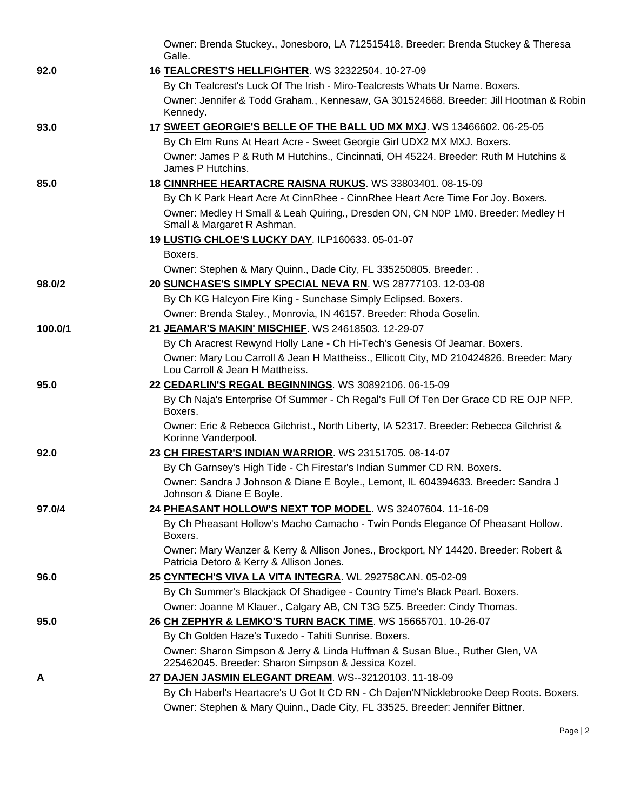|         | Owner: Brenda Stuckey., Jonesboro, LA 712515418. Breeder: Brenda Stuckey & Theresa<br>Galle.                                        |
|---------|-------------------------------------------------------------------------------------------------------------------------------------|
| 92.0    | 16 TEALCREST'S HELLFIGHTER. WS 32322504. 10-27-09                                                                                   |
|         | By Ch Tealcrest's Luck Of The Irish - Miro-Tealcrests Whats Ur Name. Boxers.                                                        |
|         | Owner: Jennifer & Todd Graham., Kennesaw, GA 301524668. Breeder: Jill Hootman & Robin<br>Kennedy.                                   |
| 93.0    | 17 SWEET GEORGIE'S BELLE OF THE BALL UD MX MXJ. WS 13466602. 06-25-05                                                               |
|         | By Ch Elm Runs At Heart Acre - Sweet Georgie Girl UDX2 MX MXJ. Boxers.                                                              |
|         | Owner: James P & Ruth M Hutchins., Cincinnati, OH 45224. Breeder: Ruth M Hutchins &<br>James P Hutchins.                            |
| 85.0    | 18 CINNRHEE HEARTACRE RAISNA RUKUS. WS 33803401. 08-15-09                                                                           |
|         | By Ch K Park Heart Acre At CinnRhee - CinnRhee Heart Acre Time For Joy. Boxers.                                                     |
|         | Owner: Medley H Small & Leah Quiring., Dresden ON, CN N0P 1M0. Breeder: Medley H<br>Small & Margaret R Ashman.                      |
|         | 19 LUSTIG CHLOE'S LUCKY DAY. ILP160633. 05-01-07                                                                                    |
|         | Boxers.                                                                                                                             |
|         | Owner: Stephen & Mary Quinn., Dade City, FL 335250805. Breeder: .                                                                   |
| 98.0/2  | 20 SUNCHASE'S SIMPLY SPECIAL NEVA RN. WS 28777103. 12-03-08                                                                         |
|         | By Ch KG Halcyon Fire King - Sunchase Simply Eclipsed. Boxers.                                                                      |
|         | Owner: Brenda Staley., Monrovia, IN 46157. Breeder: Rhoda Goselin.                                                                  |
| 100.0/1 | 21 JEAMAR'S MAKIN' MISCHIEF. WS 24618503. 12-29-07                                                                                  |
|         | By Ch Aracrest Rewynd Holly Lane - Ch Hi-Tech's Genesis Of Jeamar. Boxers.                                                          |
|         | Owner: Mary Lou Carroll & Jean H Mattheiss., Ellicott City, MD 210424826. Breeder: Mary<br>Lou Carroll & Jean H Mattheiss.          |
| 95.0    | 22 CEDARLIN'S REGAL BEGINNINGS. WS 30892106. 06-15-09                                                                               |
|         | By Ch Naja's Enterprise Of Summer - Ch Regal's Full Of Ten Der Grace CD RE OJP NFP.<br>Boxers.                                      |
|         | Owner: Eric & Rebecca Gilchrist., North Liberty, IA 52317. Breeder: Rebecca Gilchrist &<br>Korinne Vanderpool.                      |
| 92.0    | 23 CH FIRESTAR'S INDIAN WARRIOR. WS 23151705. 08-14-07                                                                              |
|         | By Ch Garnsey's High Tide - Ch Firestar's Indian Summer CD RN. Boxers.                                                              |
|         | Owner: Sandra J Johnson & Diane E Boyle., Lemont, IL 604394633. Breeder: Sandra J<br>Johnson & Diane E Boyle.                       |
| 97.0/4  | 24 PHEASANT HOLLOW'S NEXT TOP MODEL. WS 32407604. 11-16-09                                                                          |
|         | By Ch Pheasant Hollow's Macho Camacho - Twin Ponds Elegance Of Pheasant Hollow.<br>Boxers.                                          |
|         | Owner: Mary Wanzer & Kerry & Allison Jones., Brockport, NY 14420. Breeder: Robert &<br>Patricia Detoro & Kerry & Allison Jones.     |
| 96.0    | 25 CYNTECH'S VIVA LA VITA INTEGRA. WL 292758CAN. 05-02-09                                                                           |
|         | By Ch Summer's Blackjack Of Shadigee - Country Time's Black Pearl. Boxers.                                                          |
|         | Owner: Joanne M Klauer., Calgary AB, CN T3G 5Z5. Breeder: Cindy Thomas.                                                             |
| 95.0    | 26 CH ZEPHYR & LEMKO'S TURN BACK TIME. WS 15665701. 10-26-07                                                                        |
|         | By Ch Golden Haze's Tuxedo - Tahiti Sunrise. Boxers.                                                                                |
|         | Owner: Sharon Simpson & Jerry & Linda Huffman & Susan Blue., Ruther Glen, VA<br>225462045. Breeder: Sharon Simpson & Jessica Kozel. |
| A       | 27 DAJEN JASMIN ELEGANT DREAM. WS--32120103. 11-18-09                                                                               |
|         | By Ch Haberl's Heartacre's U Got It CD RN - Ch Dajen'N'Nicklebrooke Deep Roots. Boxers.                                             |
|         | Owner: Stephen & Mary Quinn., Dade City, FL 33525. Breeder: Jennifer Bittner.                                                       |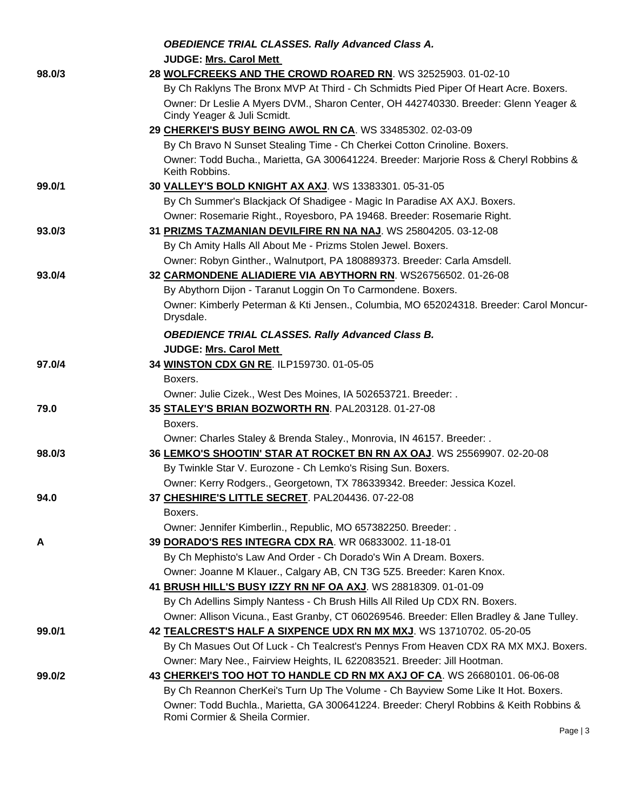|        | <b>OBEDIENCE TRIAL CLASSES. Rally Advanced Class A.</b>                                                                                          |
|--------|--------------------------------------------------------------------------------------------------------------------------------------------------|
|        | <b>JUDGE: Mrs. Carol Mett</b>                                                                                                                    |
| 98.0/3 | 28 WOLFCREEKS AND THE CROWD ROARED RN. WS 32525903. 01-02-10                                                                                     |
|        | By Ch Raklyns The Bronx MVP At Third - Ch Schmidts Pied Piper Of Heart Acre. Boxers.                                                             |
|        | Owner: Dr Leslie A Myers DVM., Sharon Center, OH 442740330. Breeder: Glenn Yeager &                                                              |
|        | Cindy Yeager & Juli Scmidt.                                                                                                                      |
|        | 29 CHERKEI'S BUSY BEING AWOL RN CA. WS 33485302. 02-03-09                                                                                        |
|        | By Ch Bravo N Sunset Stealing Time - Ch Cherkei Cotton Crinoline. Boxers.                                                                        |
|        | Owner: Todd Bucha., Marietta, GA 300641224. Breeder: Marjorie Ross & Cheryl Robbins &<br>Keith Robbins.                                          |
| 99.0/1 | 30 VALLEY'S BOLD KNIGHT AX AXJ. WS 13383301. 05-31-05                                                                                            |
|        | By Ch Summer's Blackjack Of Shadigee - Magic In Paradise AX AXJ. Boxers.                                                                         |
|        | Owner: Rosemarie Right., Royesboro, PA 19468. Breeder: Rosemarie Right.                                                                          |
| 93.0/3 | 31 PRIZMS TAZMANIAN DEVILFIRE RN NA NAJ. WS 25804205. 03-12-08                                                                                   |
|        | By Ch Amity Halls All About Me - Prizms Stolen Jewel. Boxers.                                                                                    |
|        | Owner: Robyn Ginther., Walnutport, PA 180889373. Breeder: Carla Amsdell.                                                                         |
| 93.0/4 | 32 CARMONDENE ALIADIERE VIA ABYTHORN RN. WS26756502. 01-26-08                                                                                    |
|        | By Abythorn Dijon - Taranut Loggin On To Carmondene. Boxers.                                                                                     |
|        | Owner: Kimberly Peterman & Kti Jensen., Columbia, MO 652024318. Breeder: Carol Moncur-<br>Drysdale.                                              |
|        | <b>OBEDIENCE TRIAL CLASSES. Rally Advanced Class B.</b>                                                                                          |
|        | <b>JUDGE: Mrs. Carol Mett</b>                                                                                                                    |
| 97.0/4 | 34 WINSTON CDX GN RE. ILP159730. 01-05-05                                                                                                        |
|        | Boxers.                                                                                                                                          |
|        | Owner: Julie Cizek., West Des Moines, IA 502653721. Breeder: .                                                                                   |
| 79.0   | 35 STALEY'S BRIAN BOZWORTH RN. PAL203128. 01-27-08                                                                                               |
|        | Boxers.                                                                                                                                          |
| 98.0/3 | Owner: Charles Staley & Brenda Staley., Monrovia, IN 46157. Breeder: .<br>36 LEMKO'S SHOOTIN' STAR AT ROCKET BN RN AX OAJ. WS 25569907. 02-20-08 |
|        | By Twinkle Star V. Eurozone - Ch Lemko's Rising Sun. Boxers.                                                                                     |
|        | Owner: Kerry Rodgers., Georgetown, TX 786339342. Breeder: Jessica Kozel.                                                                         |
| 94.0   | 37 CHESHIRE'S LITTLE SECRET. PAL204436. 07-22-08                                                                                                 |
|        | Boxers.                                                                                                                                          |
|        | Owner: Jennifer Kimberlin., Republic, MO 657382250. Breeder: .                                                                                   |
| A      | 39 DORADO'S RES INTEGRA CDX RA. WR 06833002. 11-18-01                                                                                            |
|        | By Ch Mephisto's Law And Order - Ch Dorado's Win A Dream. Boxers.                                                                                |
|        | Owner: Joanne M Klauer., Calgary AB, CN T3G 5Z5. Breeder: Karen Knox.                                                                            |
|        | 41 BRUSH HILL'S BUSY IZZY RN NF OA AXJ. WS 28818309. 01-01-09                                                                                    |
|        | By Ch Adellins Simply Nantess - Ch Brush Hills All Riled Up CDX RN. Boxers.                                                                      |
|        | Owner: Allison Vicuna., East Granby, CT 060269546. Breeder: Ellen Bradley & Jane Tulley.                                                         |
| 99.0/1 | 42 TEALCREST'S HALF A SIXPENCE UDX RN MX MXJ. WS 13710702. 05-20-05                                                                              |
|        | By Ch Masues Out Of Luck - Ch Tealcrest's Pennys From Heaven CDX RA MX MXJ. Boxers.                                                              |
|        | Owner: Mary Nee., Fairview Heights, IL 622083521. Breeder: Jill Hootman.                                                                         |
| 99.0/2 | 43 CHERKEI'S TOO HOT TO HANDLE CD RN MX AXJ OF CA. WS 26680101. 06-06-08                                                                         |
|        | By Ch Reannon CherKei's Turn Up The Volume - Ch Bayview Some Like It Hot. Boxers.                                                                |
|        | Owner: Todd Buchla., Marietta, GA 300641224. Breeder: Cheryl Robbins & Keith Robbins &                                                           |
|        | Romi Cormier & Sheila Cormier.                                                                                                                   |